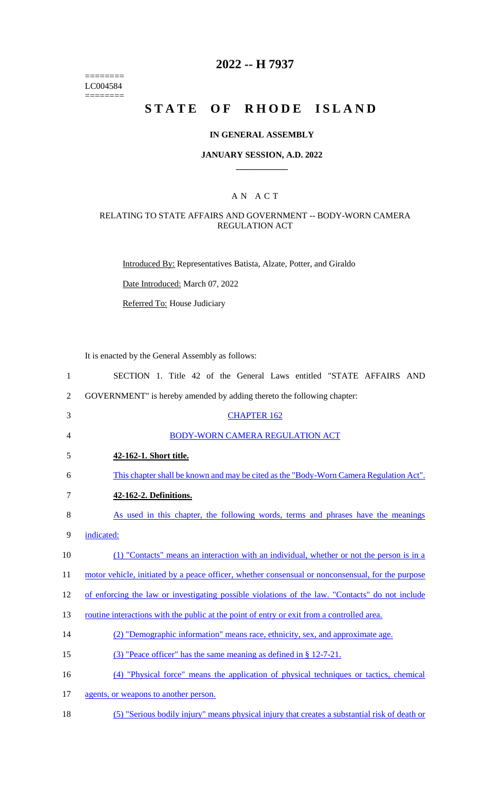======== LC004584  $=$ 

# **2022 -- H 7937**

# **STATE OF RHODE ISLAND**

### **IN GENERAL ASSEMBLY**

### **JANUARY SESSION, A.D. 2022 \_\_\_\_\_\_\_\_\_\_\_\_**

### A N A C T

## RELATING TO STATE AFFAIRS AND GOVERNMENT -- BODY-WORN CAMERA REGULATION ACT

Introduced By: Representatives Batista, Alzate, Potter, and Giraldo

Date Introduced: March 07, 2022

Referred To: House Judiciary

It is enacted by the General Assembly as follows:

| $\mathbf{1}$   | SECTION 1. Title 42 of the General Laws entitled "STATE AFFAIRS AND                               |
|----------------|---------------------------------------------------------------------------------------------------|
| $\overline{2}$ | GOVERNMENT" is hereby amended by adding thereto the following chapter:                            |
| 3              | <b>CHAPTER 162</b>                                                                                |
| 4              | BODY-WORN CAMERA REGULATION ACT                                                                   |
| 5              | 42-162-1. Short title.                                                                            |
| 6              | This chapter shall be known and may be cited as the "Body-Worn Camera Regulation Act".            |
| $\tau$         | 42-162-2. Definitions.                                                                            |
| 8              | As used in this chapter, the following words, terms and phrases have the meanings                 |
| 9              | indicated:                                                                                        |
| 10             | (1) "Contacts" means an interaction with an individual, whether or not the person is in a         |
| 11             | motor vehicle, initiated by a peace officer, whether consensual or nonconsensual, for the purpose |
| 12             | of enforcing the law or investigating possible violations of the law. "Contacts" do not include   |
| 13             | routine interactions with the public at the point of entry or exit from a controlled area.        |
| 14             | (2) "Demographic information" means race, ethnicity, sex, and approximate age.                    |
| 15             | $(3)$ "Peace officer" has the same meaning as defined in § 12-7-21.                               |
| 16             | (4) "Physical force" means the application of physical techniques or tactics, chemical            |
| 17             | agents, or weapons to another person.                                                             |
| 18             | (5) "Serious bodily injury" means physical injury that creates a substantial risk of death or     |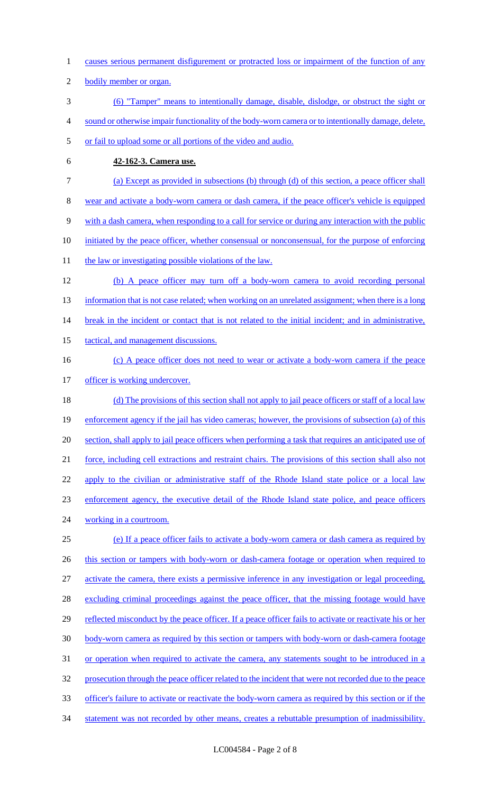- 1 causes serious permanent disfigurement or protracted loss or impairment of the function of any
- 2 bodily member or organ.
- 3 (6) "Tamper" means to intentionally damage, disable, dislodge, or obstruct the sight or
- 4 sound or otherwise impair functionality of the body-worn camera or to intentionally damage, delete,
- 5 or fail to upload some or all portions of the video and audio.
- 

# 6 **42-162-3. Camera use.**

- 7 (a) Except as provided in subsections (b) through (d) of this section, a peace officer shall 8 wear and activate a body-worn camera or dash camera, if the peace officer's vehicle is equipped 9 with a dash camera, when responding to a call for service or during any interaction with the public 10 initiated by the peace officer, whether consensual or nonconsensual, for the purpose of enforcing
- 11 the law or investigating possible violations of the law.
- 12 (b) A peace officer may turn off a body-worn camera to avoid recording personal 13 information that is not case related; when working on an unrelated assignment; when there is a long 14 break in the incident or contact that is not related to the initial incident; and in administrative, 15 tactical, and management discussions. 16 (c) A peace officer does not need to wear or activate a body-worn camera if the peace
- 
- 17 officer is working undercover.
- 18 (d) The provisions of this section shall not apply to jail peace officers or staff of a local law 19 enforcement agency if the jail has video cameras; however, the provisions of subsection (a) of this 20 section, shall apply to jail peace officers when performing a task that requires an anticipated use of 21 force, including cell extractions and restraint chairs. The provisions of this section shall also not 22 apply to the civilian or administrative staff of the Rhode Island state police or a local law 23 enforcement agency, the executive detail of the Rhode Island state police, and peace officers 24 working in a courtroom. 25 (e) If a peace officer fails to activate a body-worn camera or dash camera as required by
- 26 this section or tampers with body-worn or dash-camera footage or operation when required to
- 27 activate the camera, there exists a permissive inference in any investigation or legal proceeding,
- 28 excluding criminal proceedings against the peace officer, that the missing footage would have
- 29 reflected misconduct by the peace officer. If a peace officer fails to activate or reactivate his or her
- 30 body-worn camera as required by this section or tampers with body-worn or dash-camera footage
- 31 or operation when required to activate the camera, any statements sought to be introduced in a
- 32 prosecution through the peace officer related to the incident that were not recorded due to the peace
- 33 officer's failure to activate or reactivate the body-worn camera as required by this section or if the
- 34 statement was not recorded by other means, creates a rebuttable presumption of inadmissibility.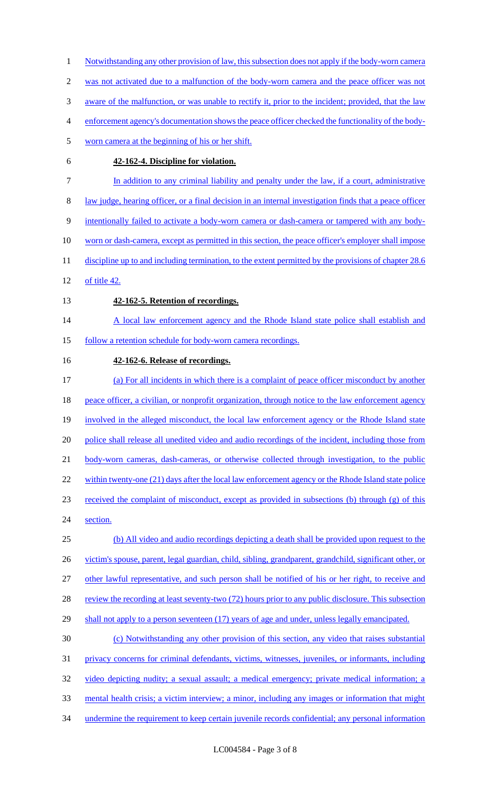was not activated due to a malfunction of the body-worn camera and the peace officer was not aware of the malfunction, or was unable to rectify it, prior to the incident; provided, that the law enforcement agency's documentation shows the peace officer checked the functionality of the body- worn camera at the beginning of his or her shift. **42-162-4. Discipline for violation. In addition to any criminal liability and penalty under the law, if a court, administrative**  law judge, hearing officer, or a final decision in an internal investigation finds that a peace officer intentionally failed to activate a body-worn camera or dash-camera or tampered with any body- worn or dash-camera, except as permitted in this section, the peace officer's employer shall impose 11 discipline up to and including termination, to the extent permitted by the provisions of chapter 28.6 of title 42. **42-162-5. Retention of recordings.**  14 A local law enforcement agency and the Rhode Island state police shall establish and 15 follow a retention schedule for body-worn camera recordings. **42-162-6. Release of recordings.**  (a) For all incidents in which there is a complaint of peace officer misconduct by another 18 peace officer, a civilian, or nonprofit organization, through notice to the law enforcement agency involved in the alleged misconduct, the local law enforcement agency or the Rhode Island state 20 police shall release all unedited video and audio recordings of the incident, including those from 21 body-worn cameras, dash-cameras, or otherwise collected through investigation, to the public 22 within twenty-one (21) days after the local law enforcement agency or the Rhode Island state police received the complaint of misconduct, except as provided in subsections (b) through (g) of this section. (b) All video and audio recordings depicting a death shall be provided upon request to the 26 victim's spouse, parent, legal guardian, child, sibling, grandparent, grandchild, significant other, or other lawful representative, and such person shall be notified of his or her right, to receive and 28 review the recording at least seventy-two (72) hours prior to any public disclosure. This subsection 29 shall not apply to a person seventeen (17) years of age and under, unless legally emancipated. (c) Notwithstanding any other provision of this section, any video that raises substantial privacy concerns for criminal defendants, victims, witnesses, juveniles, or informants, including video depicting nudity; a sexual assault; a medical emergency; private medical information; a mental health crisis; a victim interview; a minor, including any images or information that might 34 undermine the requirement to keep certain juvenile records confidential; any personal information

1 Notwithstanding any other provision of law, this subsection does not apply if the body-worn camera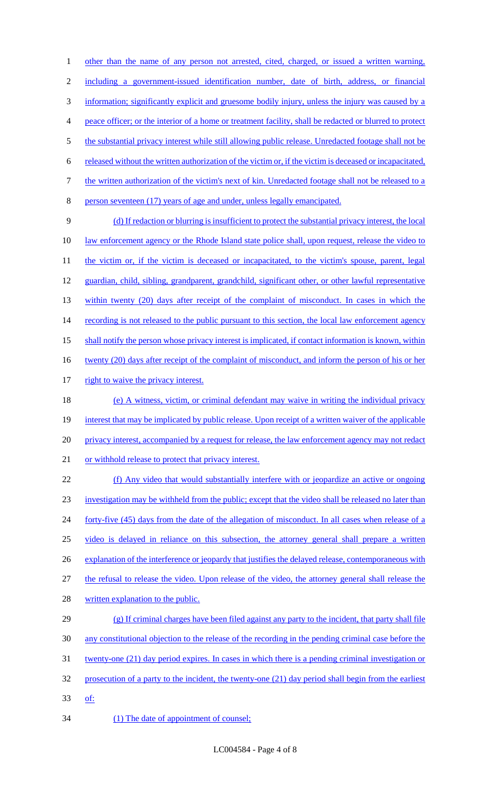1 other than the name of any person not arrested, cited, charged, or issued a written warning, 2 including a government-issued identification number, date of birth, address, or financial 3 information; significantly explicit and gruesome bodily injury, unless the injury was caused by a 4 peace officer; or the interior of a home or treatment facility, shall be redacted or blurred to protect 5 the substantial privacy interest while still allowing public release. Unredacted footage shall not be 6 released without the written authorization of the victim or, if the victim is deceased or incapacitated, 7 the written authorization of the victim's next of kin. Unredacted footage shall not be released to a 8 person seventeen (17) years of age and under, unless legally emancipated. 9 (d) If redaction or blurring is insufficient to protect the substantial privacy interest, the local 10 law enforcement agency or the Rhode Island state police shall, upon request, release the video to 11 the victim or, if the victim is deceased or incapacitated, to the victim's spouse, parent, legal 12 guardian, child, sibling, grandparent, grandchild, significant other, or other lawful representative 13 within twenty (20) days after receipt of the complaint of misconduct. In cases in which the 14 recording is not released to the public pursuant to this section, the local law enforcement agency 15 shall notify the person whose privacy interest is implicated, if contact information is known, within 16 twenty (20) days after receipt of the complaint of misconduct, and inform the person of his or her 17 right to waive the privacy interest. 18 (e) A witness, victim, or criminal defendant may waive in writing the individual privacy 19 interest that may be implicated by public release. Upon receipt of a written waiver of the applicable 20 privacy interest, accompanied by a request for release, the law enforcement agency may not redact 21 or withhold release to protect that privacy interest. 22 (f) Any video that would substantially interfere with or jeopardize an active or ongoing 23 investigation may be withheld from the public; except that the video shall be released no later than 24 forty-five (45) days from the date of the allegation of misconduct. In all cases when release of a 25 video is delayed in reliance on this subsection, the attorney general shall prepare a written 26 explanation of the interference or jeopardy that justifies the delayed release, contemporaneous with 27 the refusal to release the video. Upon release of the video, the attorney general shall release the 28 written explanation to the public. 29 (g) If criminal charges have been filed against any party to the incident, that party shall file 30 any constitutional objection to the release of the recording in the pending criminal case before the 31 twenty-one (21) day period expires. In cases in which there is a pending criminal investigation or 32 prosecution of a party to the incident, the twenty-one (21) day period shall begin from the earliest 33 of: 34 (1) The date of appointment of counsel;

LC004584 - Page 4 of 8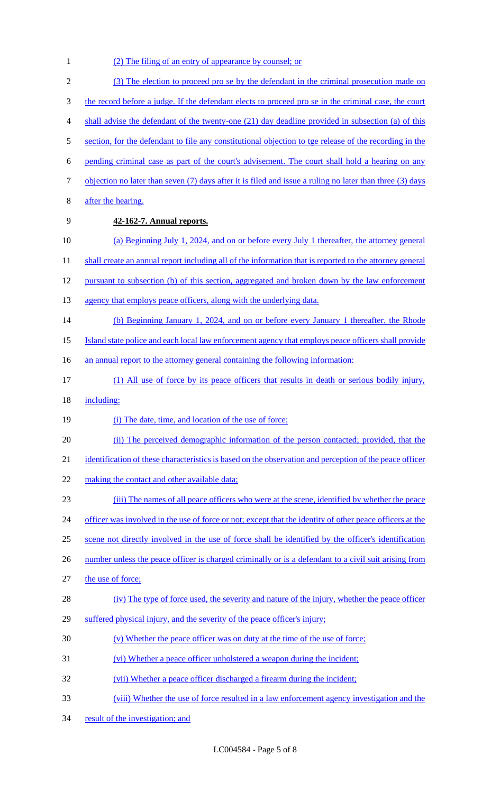- 1 (2) The filing of an entry of appearance by counsel; or 2 (3) The election to proceed pro se by the defendant in the criminal prosecution made on 3 the record before a judge. If the defendant elects to proceed pro se in the criminal case, the court 4 shall advise the defendant of the twenty-one (21) day deadline provided in subsection (a) of this 5 section, for the defendant to file any constitutional objection to tge release of the recording in the 6 pending criminal case as part of the court's advisement. The court shall hold a hearing on any 7 objection no later than seven (7) days after it is filed and issue a ruling no later than three (3) days 8 after the hearing. 9 **42-162-7. Annual reports.**  10 (a) Beginning July 1, 2024, and on or before every July 1 thereafter, the attorney general 11 shall create an annual report including all of the information that is reported to the attorney general 12 pursuant to subsection (b) of this section, aggregated and broken down by the law enforcement 13 agency that employs peace officers, along with the underlying data. 14 (b) Beginning January 1, 2024, and on or before every January 1 thereafter, the Rhode 15 Island state police and each local law enforcement agency that employs peace officers shall provide 16 an annual report to the attorney general containing the following information: 17 (1) All use of force by its peace officers that results in death or serious bodily injury, 18 including: 19 (i) The date, time, and location of the use of force; 20 (ii) The perceived demographic information of the person contacted; provided, that the 21 identification of these characteristics is based on the observation and perception of the peace officer 22 making the contact and other available data; 23 (iii) The names of all peace officers who were at the scene, identified by whether the peace 24 officer was involved in the use of force or not; except that the identity of other peace officers at the 25 scene not directly involved in the use of force shall be identified by the officer's identification 26 number unless the peace officer is charged criminally or is a defendant to a civil suit arising from 27 the use of force; 28 (iv) The type of force used, the severity and nature of the injury, whether the peace officer 29 suffered physical injury, and the severity of the peace officer's injury; 30 (v) Whether the peace officer was on duty at the time of the use of force; 31 (vi) Whether a peace officer unholstered a weapon during the incident; 32 (vii) Whether a peace officer discharged a firearm during the incident; 33 (viii) Whether the use of force resulted in a law enforcement agency investigation and the
- 34 result of the investigation; and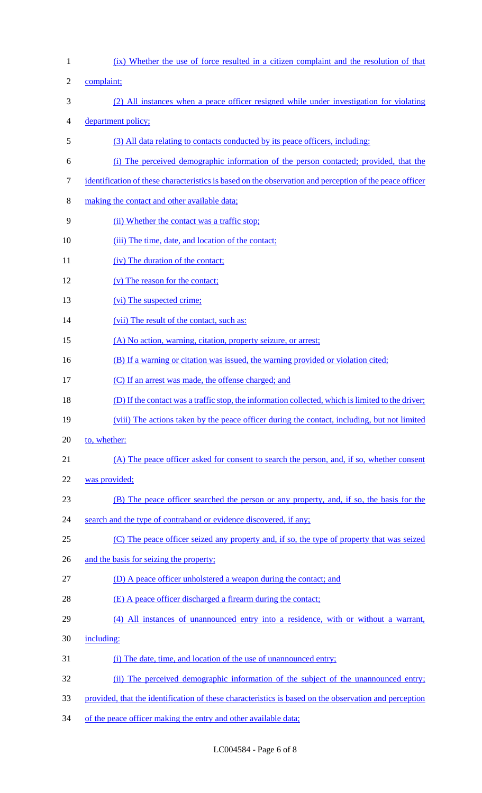| $\mathbf{1}$   | (ix) Whether the use of force resulted in a citizen complaint and the resolution of that                |
|----------------|---------------------------------------------------------------------------------------------------------|
| $\mathfrak{2}$ | complaint;                                                                                              |
| 3              | (2) All instances when a peace officer resigned while under investigation for violating                 |
| 4              | department policy;                                                                                      |
| 5              | (3) All data relating to contacts conducted by its peace officers, including:                           |
| 6              | (i) The perceived demographic information of the person contacted; provided, that the                   |
| 7              | identification of these characteristics is based on the observation and perception of the peace officer |
| 8              | making the contact and other available data;                                                            |
| 9              | (ii) Whether the contact was a traffic stop;                                                            |
| 10             | (iii) The time, date, and location of the contact;                                                      |
| 11             | (iv) The duration of the contact;                                                                       |
| 12             | (v) The reason for the contact;                                                                         |
| 13             | (vi) The suspected crime;                                                                               |
| 14             | (vii) The result of the contact, such as:                                                               |
| 15             | (A) No action, warning, citation, property seizure, or arrest;                                          |
| 16             | (B) If a warning or citation was issued, the warning provided or violation cited;                       |
| 17             | (C) If an arrest was made, the offense charged; and                                                     |
| 18             | (D) If the contact was a traffic stop, the information collected, which is limited to the driver;       |
| 19             | (viii) The actions taken by the peace officer during the contact, including, but not limited            |
| 20             | to, whether:                                                                                            |
| 21             | (A) The peace officer asked for consent to search the person, and, if so, whether consent               |
| 22             | was provided;                                                                                           |
| 23             | (B) The peace officer searched the person or any property, and, if so, the basis for the                |
| 24             | search and the type of contraband or evidence discovered, if any;                                       |
| 25             | (C) The peace officer seized any property and, if so, the type of property that was seized              |
| 26             | and the basis for seizing the property;                                                                 |
| 27             | (D) A peace officer unholstered a weapon during the contact; and                                        |
| 28             | (E) A peace officer discharged a firearm during the contact;                                            |
| 29             | (4) All instances of unannounced entry into a residence, with or without a warrant,                     |
| 30             | including:                                                                                              |
| 31             | (i) The date, time, and location of the use of unannounced entry;                                       |
| 32             | (ii) The perceived demographic information of the subject of the unannounced entry;                     |
| 33             | provided, that the identification of these characteristics is based on the observation and perception   |

of the peace officer making the entry and other available data;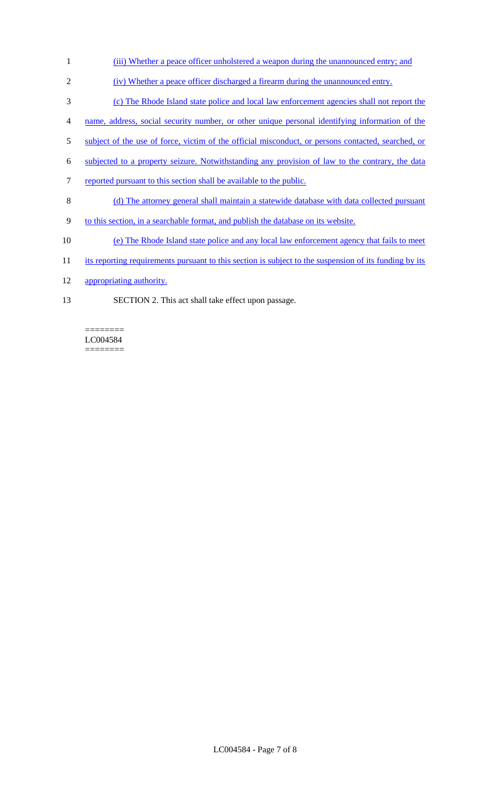- 1 (iii) Whether a peace officer unholstered a weapon during the unannounced entry; and
- 2 (iv) Whether a peace officer discharged a firearm during the unannounced entry.
- 3 (c) The Rhode Island state police and local law enforcement agencies shall not report the
- 4 name, address, social security number, or other unique personal identifying information of the
- 5 subject of the use of force, victim of the official misconduct, or persons contacted, searched, or
- 6 subjected to a property seizure. Notwithstanding any provision of law to the contrary, the data
- 7 reported pursuant to this section shall be available to the public.
- 8 (d) The attorney general shall maintain a statewide database with data collected pursuant
- 9 to this section, in a searchable format, and publish the database on its website.
- 10 (e) The Rhode Island state police and any local law enforcement agency that fails to meet
- 11 its reporting requirements pursuant to this section is subject to the suspension of its funding by its
- 12 appropriating authority.

 $=$ 

13 SECTION 2. This act shall take effect upon passage.

LC004584 ========